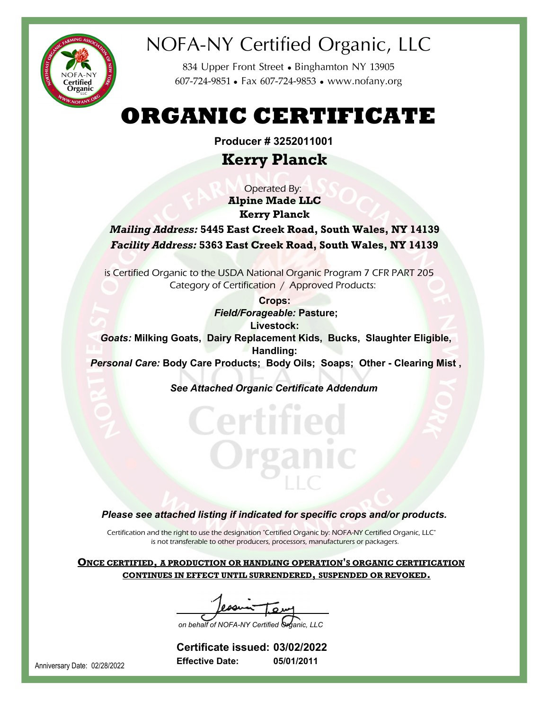

## NOFA-NY Certified Organic, LLC

834 Upper Front Street • Binghamton NY 13905 607-724-9851 ● Fax 607-724-9853 ● www.nofany.org

# **ORGANIC CERTIFICATE**

**Producer # 3252011001**

## **Kerry Planck**

**Alpine Made LLC Kerry Planck** *Mailing Address:* **5445 East Creek Road, South Wales, NY 14139** *Facility Address:* **5363 East Creek Road, South Wales, NY 14139** Operated By:

 is Certified Organic to the USDA National Organic Program 7 CFR PART 205 Category of Certification / Approved Products:

**Crops:** *Field/Forageable:* **Pasture; Livestock:** *Goats:* **Milking Goats, Dairy Replacement Kids, Bucks, Slaughter Eligible, Handling:** *Personal Care:* **Body Care Products; Body Oils; Soaps; Other - Clearing Mist ,**

*See Attached Organic Certificate Addendum*

### *Please see attached listing if indicated for specific crops and/or products.*

Certification and the right to use the designation "Certified Organic by: NOFA-NY Certified Organic, LLC" is not transferable to other producers, processors, manufacturers or packagers.

**ONCE CERTIFIED, A PRODUCTION OR HANDLING OPERATION'S ORGANIC CERTIFICATION CONTINUES IN EFFECT UNTIL SURRENDERED, SUSPENDED OR REVOKED.**

on behalf of NOFA-NY Certified **O** 

**05/01/2011 03/02/2022 Certificate issued: Effective Date:**

Anniversary Date: 02/28/2022